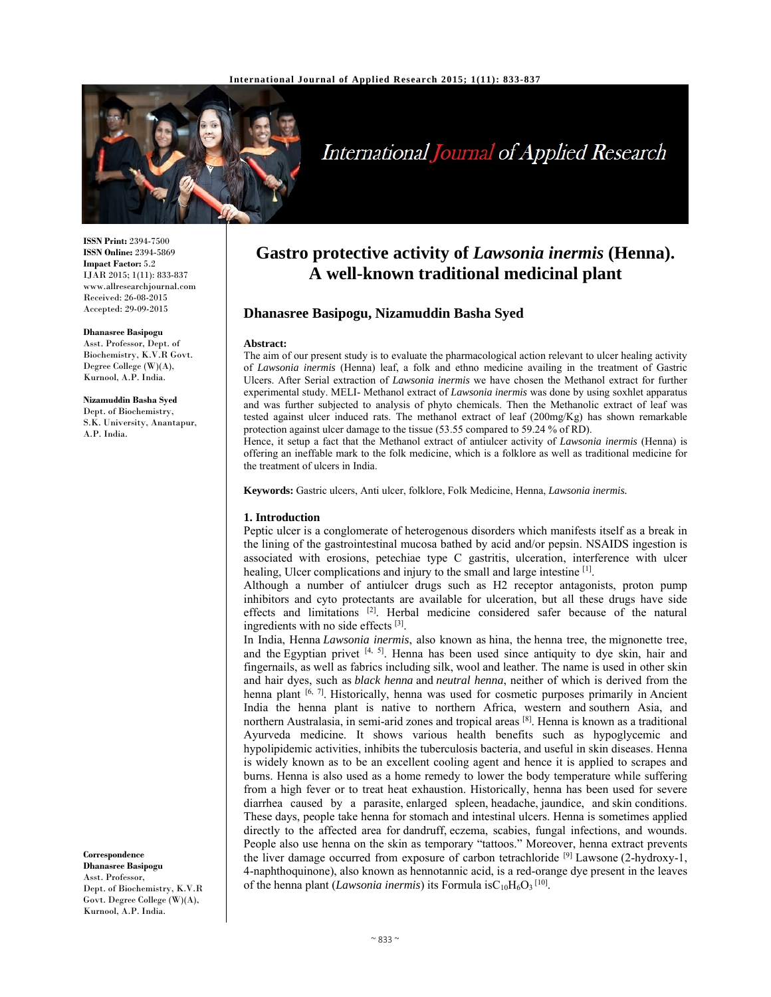

# International Journal of Applied Research

**ISSN Print:** 2394-7500 **ISSN Online:** 2394-5869 **Impact Factor:** 5.2 IJAR 2015; 1(11): 833-837 www.allresearchjournal.com Received: 26-08-2015 Accepted: 29-09-2015

**Dhanasree Basipogu**  Asst. Professor, Dept. of Biochemistry, K.V.R Govt. Degree College (W)(A), Kurnool, A.P. India.

**Nizamuddin Basha Syed**  Dept. of Biochemistry, S.K. University, Anantapur, A.P. India.

**Correspondence Dhanasree Basipogu**  Asst. Professor, Dept. of Biochemistry, K.V.R Govt. Degree College (W)(A), Kurnool, A.P. India.

# **Gastro protective activity of** *Lawsonia inermis* **(Henna). A well-known traditional medicinal plant**

# **Dhanasree Basipogu, Nizamuddin Basha Syed**

#### **Abstract:**

The aim of our present study is to evaluate the pharmacological action relevant to ulcer healing activity of *Lawsonia inermis* (Henna) leaf, a folk and ethno medicine availing in the treatment of Gastric Ulcers. After Serial extraction of *Lawsonia inermis* we have chosen the Methanol extract for further experimental study. MELI- Methanol extract of *Lawsonia inermis* was done by using soxhlet apparatus and was further subjected to analysis of phyto chemicals. Then the Methanolic extract of leaf was tested against ulcer induced rats. The methanol extract of leaf (200mg/Kg) has shown remarkable protection against ulcer damage to the tissue (53.55 compared to 59.24 % of RD).

Hence, it setup a fact that the Methanol extract of antiulcer activity of *Lawsonia inermis* (Henna) is offering an ineffable mark to the folk medicine, which is a folklore as well as traditional medicine for the treatment of ulcers in India.

**Keywords:** Gastric ulcers, Anti ulcer, folklore, Folk Medicine, Henna, *Lawsonia inermis.*

#### **1. Introduction**

Peptic ulcer is a conglomerate of heterogenous disorders which manifests itself as a break in the lining of the gastrointestinal mucosa bathed by acid and/or pepsin. NSAIDS ingestion is associated with erosions, petechiae type C gastritis, ulceration, interference with ulcer healing. Ulcer complications and injury to the small and large intestine <sup>[1]</sup>.

Although a number of antiulcer drugs such as H2 receptor antagonists, proton pump inhibitors and cyto protectants are available for ulceration, but all these drugs have side effects and limitations [2]. Herbal medicine considered safer because of the natural ingredients with no side effects [3].

In India, Henna *Lawsonia inermis*, also known as hina, the henna tree, the mignonette tree, and the Egyptian privet  $[4, 5]$ . Henna has been used since antiquity to dye skin, hair and fingernails, as well as fabrics including silk, wool and leather. The name is used in other skin and hair dyes, such as *black henna* and *neutral henna*, neither of which is derived from the henna plant  $[6, 7]$ . Historically, henna was used for cosmetic purposes primarily in Ancient India the henna plant is native to northern Africa, western and southern Asia, and northern Australasia, in semi-arid zones and tropical areas [8]. Henna is known as a traditional Ayurveda medicine. It shows various health benefits such as hypoglycemic and hypolipidemic activities, inhibits the tuberculosis bacteria, and useful in skin diseases. Henna is widely known as to be an excellent cooling agent and hence it is applied to scrapes and burns. Henna is also used as a home remedy to lower the body temperature while suffering from a high fever or to treat heat exhaustion. Historically, henna has been used for severe diarrhea caused by a parasite, enlarged spleen, headache, jaundice, and skin conditions. These days, people take henna for stomach and intestinal ulcers. Henna is sometimes applied directly to the affected area for dandruff, eczema, scabies, fungal infections, and wounds. People also use henna on the skin as temporary "tattoos." Moreover, henna extract prevents the liver damage occurred from exposure of carbon tetrachloride  $[9]$  Lawsone (2-hydroxy-1, 4-naphthoquinone), also known as hennotannic acid, is a red-orange dye present in the leaves of the henna plant (*Lawsonia inermis*) its Formula is  $C_{10}H_6O_3$ <sup>[10]</sup>.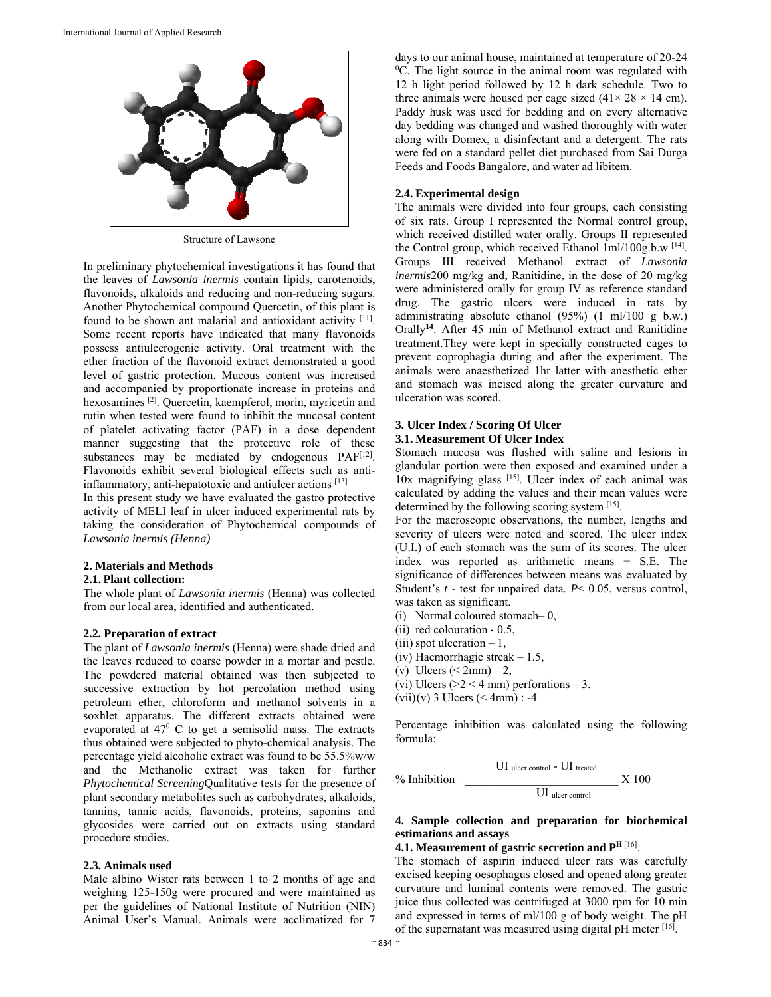

Structure of Lawsone

In preliminary phytochemical investigations it has found that the leaves of *Lawsonia inermis* contain lipids, carotenoids, flavonoids, alkaloids and reducing and non-reducing sugars. Another Phytochemical compound Quercetin, of this plant is found to be shown ant malarial and antioxidant activity [11]. Some recent reports have indicated that many flavonoids possess antiulcerogenic activity. Oral treatment with the ether fraction of the flavonoid extract demonstrated a good level of gastric protection. Mucous content was increased and accompanied by proportionate increase in proteins and hexosamines <sup>[2]</sup>. Quercetin, kaempferol, morin, myricetin and rutin when tested were found to inhibit the mucosal content of platelet activating factor (PAF) in a dose dependent manner suggesting that the protective role of these substances may be mediated by endogenous PAF<sup>[12]</sup>. Flavonoids exhibit several biological effects such as antiinflammatory, anti-hepatotoxic and antiulcer actions [13]

In this present study we have evaluated the gastro protective activity of MELI leaf in ulcer induced experimental rats by taking the consideration of Phytochemical compounds of *Lawsonia inermis (Henna)* 

#### **2. Materials and Methods**

#### **2.1. Plant collection:**

The whole plant of *Lawsonia inermis* (Henna) was collected from our local area, identified and authenticated.

#### **2.2. Preparation of extract**

The plant of *Lawsonia inermis* (Henna) were shade dried and the leaves reduced to coarse powder in a mortar and pestle. The powdered material obtained was then subjected to successive extraction by hot percolation method using petroleum ether, chloroform and methanol solvents in a soxhlet apparatus. The different extracts obtained were evaporated at  $47^{\circ}$  C to get a semisolid mass. The extracts thus obtained were subjected to phyto-chemical analysis. The percentage yield alcoholic extract was found to be 55.5%w/w and the Methanolic extract was taken for further *Phytochemical Screening*Qualitative tests for the presence of plant secondary metabolites such as carbohydrates, alkaloids, tannins, tannic acids, flavonoids, proteins, saponins and glycosides were carried out on extracts using standard procedure studies.

#### **2.3. Animals used**

Male albino Wister rats between 1 to 2 months of age and weighing 125-150g were procured and were maintained as per the guidelines of National Institute of Nutrition (NIN) Animal User's Manual. Animals were acclimatized for 7

days to our animal house, maintained at temperature of 20-24 <sup>0</sup>C. The light source in the animal room was regulated with 12 h light period followed by 12 h dark schedule. Two to three animals were housed per cage sized  $(41 \times 28 \times 14 \text{ cm})$ . Paddy husk was used for bedding and on every alternative day bedding was changed and washed thoroughly with water along with Domex, a disinfectant and a detergent. The rats were fed on a standard pellet diet purchased from Sai Durga Feeds and Foods Bangalore, and water ad libitem.

#### **2.4. Experimental design**

The animals were divided into four groups, each consisting of six rats. Group Ι represented the Normal control group, which received distilled water orally. Groups ΙΙ represented the Control group, which received Ethanol 1ml/100g.b.w [14]. Groups ΙΙI received Methanol extract of *Lawsonia inermis*200 mg/kg and, Ranitidine, in the dose of 20 mg/kg were administered orally for group ΙV as reference standard drug. The gastric ulcers were induced in rats by administrating absolute ethanol (95%) (1 ml/100 g b.w.) Orally**<sup>14</sup>**. After 45 min of Methanol extract and Ranitidine treatment.They were kept in specially constructed cages to prevent coprophagia during and after the experiment. The animals were anaesthetized 1hr latter with anesthetic ether and stomach was incised along the greater curvature and ulceration was scored.

#### **3. Ulcer Index / Scoring Of Ulcer 3.1. Measurement Of Ulcer Index**

Stomach mucosa was flushed with saline and lesions in glandular portion were then exposed and examined under a 10x magnifying glass [15]. Ulcer index of each animal was calculated by adding the values and their mean values were determined by the following scoring system [15].

For the macroscopic observations, the number, lengths and severity of ulcers were noted and scored. The ulcer index (U.I.) of each stomach was the sum of its scores. The ulcer index was reported as arithmetic means  $\pm$  S.E. The significance of differences between means was evaluated by Student's *t* - test for unpaired data. *P*< 0.05, versus control, was taken as significant.

- (i) Normal coloured stomach– 0,
- (ii) red colouration ‐ 0.5,
- (iii) spot ulceration  $-1$ ,
- (iv) Haemorrhagic streak 1.5,
- (v) Ulcers  $\leq 2$ mm $) 2$ ,
- (vi) Ulcers ( $>2 < 4$  mm) perforations  $-3$ .
- $(vii)(v)$  3 Ulcers  $(< 4mm)$ : -4

Percentage inhibition was calculated using the following formula:

$$
\% Inhibition = \underline{\text{UI} \text{ ucer control - UI} \text{ treated}} \times 100
$$

### **4. Sample collection and preparation for biochemical estimations and assays**

#### **4.1. Measurement of gastric secretion and PH** [16].

The stomach of aspirin induced ulcer rats was carefully excised keeping oesophagus closed and opened along greater curvature and luminal contents were removed. The gastric juice thus collected was centrifuged at 3000 rpm for 10 min and expressed in terms of ml/100 g of body weight. The pH of the supernatant was measured using digital pH meter [16].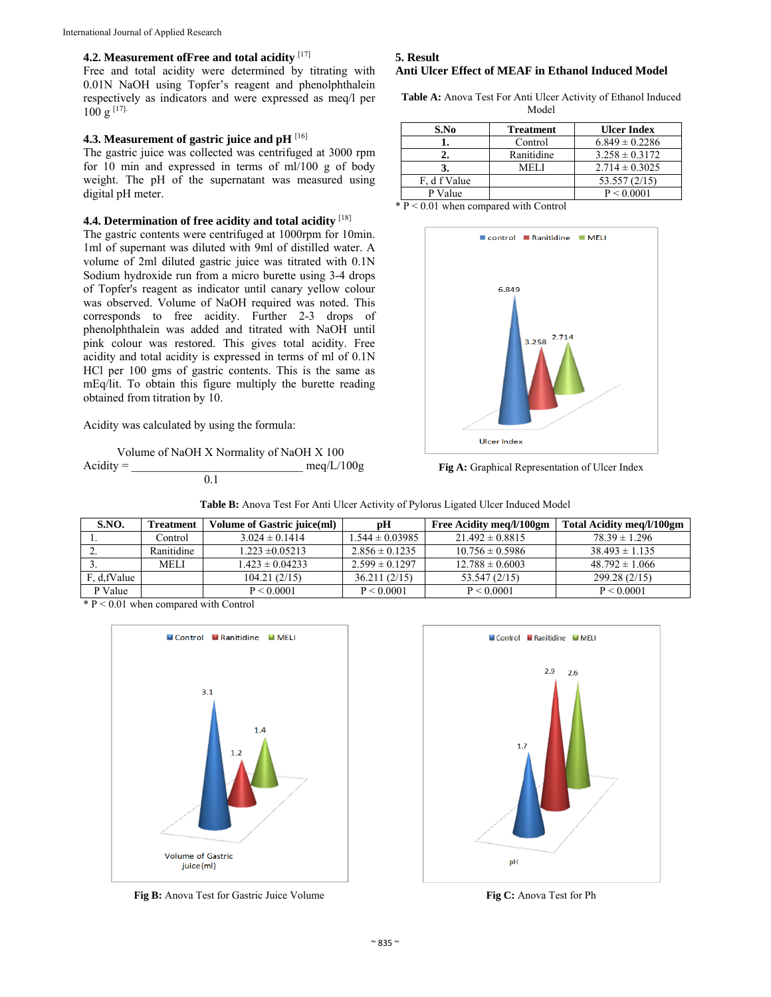# **4.2. Measurement ofFree and total acidity** [17]

Free and total acidity were determined by titrating with 0.01N NaOH using Topfer's reagent and phenolphthalein respectively as indicators and were expressed as meq/l per  $100 g$ <sup>[17].</sup>

# **4.3. Measurement of gastric juice and pH** [16]

The gastric juice was collected was centrifuged at 3000 rpm for 10 min and expressed in terms of ml/100 g of body weight. The pH of the supernatant was measured using digital pH meter.

#### **4.4. Determination of free acidity and total acidity** [18]

The gastric contents were centrifuged at 1000rpm for 10min. 1ml of supernant was diluted with 9ml of distilled water. A volume of 2ml diluted gastric juice was titrated with 0.1N Sodium hydroxide run from a micro burette using 3-4 drops of Topfer's reagent as indicator until canary yellow colour was observed. Volume of NaOH required was noted. This corresponds to free acidity. Further 2-3 drops of phenolphthalein was added and titrated with NaOH until pink colour was restored. This gives total acidity. Free acidity and total acidity is expressed in terms of ml of 0.1N HCl per 100 gms of gastric contents. This is the same as mEq/lit. To obtain this figure multiply the burette reading obtained from titration by 10.

Acidity was calculated by using the formula:

```
Volume of NaOH X Normality of NaOH X 100 
Acidity = meq/L/100g
                0.1
```
# **5. Result**

# **Anti Ulcer Effect of MEAF in Ethanol Induced Model**

**Table A:** Anova Test For Anti Ulcer Activity of Ethanol Induced Model

| S.No                           | <b>Treatment</b> | <b>Ulcer Index</b> |  |
|--------------------------------|------------------|--------------------|--|
|                                | Control          | $6.849 \pm 0.2286$ |  |
|                                | Ranitidine       | $3.258 \pm 0.3172$ |  |
|                                | MEL I            | $2.714 \pm 0.3025$ |  |
| F, d f Value                   |                  | 53.557 (2/15)      |  |
| P Value                        |                  | P < 0.0001         |  |
| $\mathbf{r}$ $\alpha$ $\alpha$ | $\cdots$         |                    |  |

 $*\overline{P}$  < 0.01 when compared with Control



**Fig A:** Graphical Representation of Ulcer Index

| S.NO.        | <b>Treatment</b> | Volume of Gastric juice(ml) | рH                  | Free Acidity meg/l/100gm | Total Acidity meg/l/100gm |
|--------------|------------------|-----------------------------|---------------------|--------------------------|---------------------------|
|              | Control          | $3.024 \pm 0.1414$          | $1.544 \pm 0.03985$ | $21.492 \pm 0.8815$      | $78.39 \pm 1.296$         |
|              | Ranitidine       | $1.223 \pm 0.05213$         | $2.856 \pm 0.1235$  | $10.756 \pm 0.5986$      | $38.493 \pm 1.135$        |
|              | <b>MELI</b>      | $1.423 \pm 0.04233$         | $2.599 \pm 0.1297$  | $12.788 \pm 0.6003$      | $48.792 \pm 1.066$        |
| F, d, fValue |                  | 104.21(2/15)                | 36.211(2/15)        | 53.547 (2/15)            | 299.28 (2/15)             |
| P Value      |                  | P < 0.0001                  | P < 0.0001          | P < 0.0001               | P < 0.0001                |

|  |  | <b>Table B:</b> Anova Test For Anti Ulcer Activity of Pylorus Ligated Ulcer Induced Model |  |  |
|--|--|-------------------------------------------------------------------------------------------|--|--|
|--|--|-------------------------------------------------------------------------------------------|--|--|

\* P < 0.01 when compared with Control



**Fig B:** Anova Test for Gastric Juice Volume **Fig C:** Anova Test for Ph

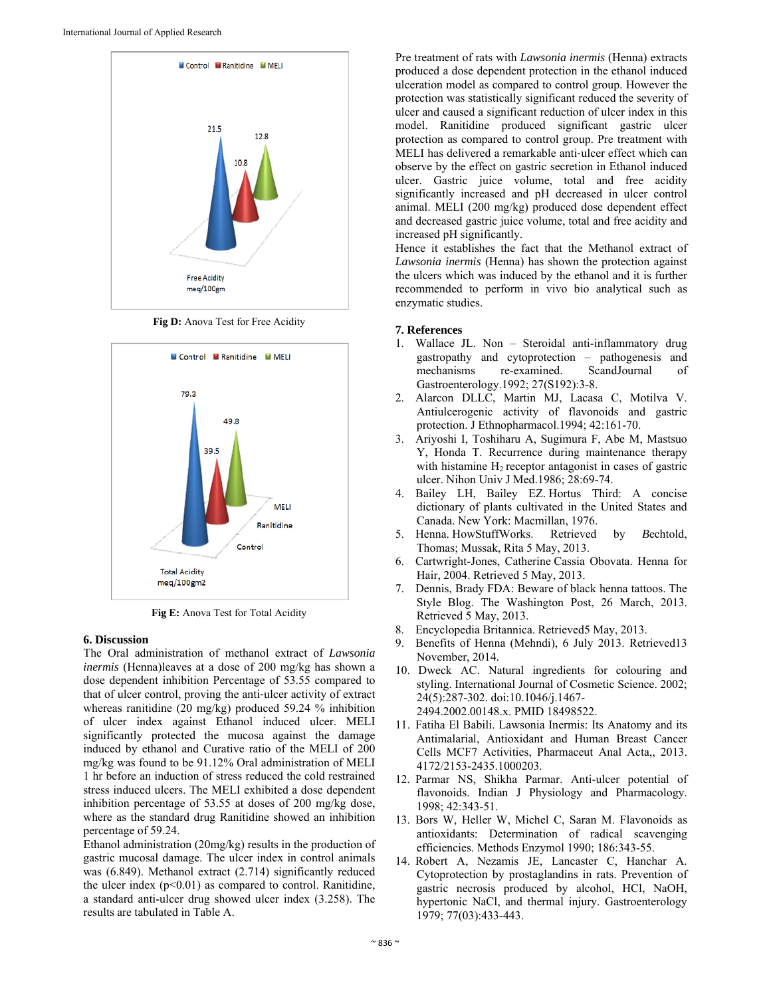

Fig D: Anova Test for Free Acidity



**Fig E:** Anova Test for Total Acidity

#### **6. Discussion**

The Oral administration of methanol extract of *Lawsonia inermis* (Henna)leaves at a dose of 200 mg/kg has shown a dose dependent inhibition Percentage of 53.55 compared to that of ulcer control, proving the anti‐ulcer activity of extract whereas ranitidine (20 mg/kg) produced 59.24 % inhibition of ulcer index against Ethanol induced ulcer. MELI significantly protected the mucosa against the damage induced by ethanol and Curative ratio of the MELI of 200 mg/kg was found to be 91.12% Oral administration of MELI 1 hr before an induction of stress reduced the cold restrained stress induced ulcers. The MELI exhibited a dose dependent inhibition percentage of 53.55 at doses of 200 mg/kg dose, where as the standard drug Ranitidine showed an inhibition percentage of 59.24.

Ethanol administration (20mg/kg) results in the production of gastric mucosal damage. The ulcer index in control animals was (6.849). Methanol extract (2.714) significantly reduced the ulcer index  $(p<0.01)$  as compared to control. Ranitidine, a standard anti-ulcer drug showed ulcer index (3.258). The results are tabulated in Table A.

Pre treatment of rats with *Lawsonia inermis* (Henna) extracts produced a dose dependent protection in the ethanol induced ulceration model as compared to control group. However the protection was statistically significant reduced the severity of ulcer and caused a significant reduction of ulcer index in this model. Ranitidine produced significant gastric ulcer protection as compared to control group. Pre treatment with MELI has delivered a remarkable anti‐ulcer effect which can observe by the effect on gastric secretion in Ethanol induced ulcer. Gastric juice volume, total and free acidity significantly increased and pH decreased in ulcer control animal. MELI (200 mg/kg) produced dose dependent effect and decreased gastric juice volume, total and free acidity and increased pH significantly.

Hence it establishes the fact that the Methanol extract of *Lawsonia inermis* (Henna) has shown the protection against the ulcers which was induced by the ethanol and it is further recommended to perform in vivo bio analytical such as enzymatic studies.

#### **7. References**

- 1. Wallace JL. Non Steroidal anti-inflammatory drug gastropathy and cytoprotection – pathogenesis and mechanisms re-examined. ScandJournal of Gastroenterology.1992; 27(S192):3-8.
- 2. Alarcon DLLC, Martin MJ, Lacasa C, Motilva V. Antiulcerogenic activity of flavonoids and gastric protection. J Ethnopharmacol.1994; 42:161-70.
- 3. Ariyoshi I, Toshiharu A, Sugimura F, Abe M, Mastsuo Y, Honda T. Recurrence during maintenance therapy with histamine H<sub>2</sub> receptor antagonist in cases of gastric ulcer. Nihon Univ J Med.1986; 28:69-74.
- 4. Bailey LH, Bailey EZ. Hortus Third: A concise dictionary of plants cultivated in the United States and Canada. New York: Macmillan, 1976.
- 5. Henna. HowStuffWorks. Retrieved by *B*echtold, Thomas; Mussak, Rita 5 May, 2013.
- 6. Cartwright-Jones, Catherine Cassia Obovata. Henna for Hair, 2004. Retrieved 5 May, 2013.
- 7. Dennis, Brady FDA: Beware of black henna tattoos. The Style Blog. The Washington Post, 26 March, 2013. Retrieved 5 May, 2013.
- 8. Encyclopedia Britannica. Retrieved5 May, 2013.
- 9. Benefits of Henna (Mehndi), 6 July 2013. Retrieved13 November, 2014.
- 10. Dweck AC. Natural ingredients for colouring and styling. International Journal of Cosmetic Science. 2002; 24(5):287-302. doi:10.1046/j.1467- 2494.2002.00148.x. PMID 18498522.
- 11. Fatiha El Babili. Lawsonia Inermis: Its Anatomy and its Antimalarial, Antioxidant and Human Breast Cancer Cells MCF7 Activities, Pharmaceut Anal Acta,, 2013. 4172/2153-2435.1000203.
- 12. Parmar NS, Shikha Parmar. Anti-ulcer potential of flavonoids. Indian J Physiology and Pharmacology. 1998; 42:343-51.
- 13. Bors W, Heller W, Michel C, Saran M. Flavonoids as antioxidants: Determination of radical scavenging efficiencies. Methods Enzymol 1990; 186:343-55.
- 14. Robert A, Nezamis JE, Lancaster C, Hanchar A. Cytoprotection by prostaglandins in rats. Prevention of gastric necrosis produced by alcohol, HCl, NaOH, hypertonic NaCl, and thermal injury. Gastroenterology 1979; 77(03):433-443.